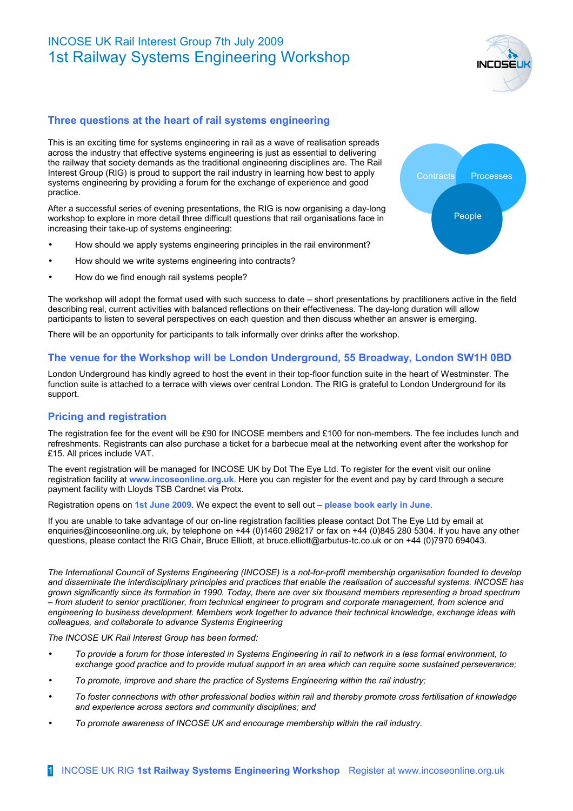# INCOSE UK Rail Interest Group 7th July 2009 1st Railway Systems Engineering Workshop

## **Three questions at the heart of rail systems engineering**

This is an exciting time for systems engineering in rail as a wave of realisation spreads across the industry that effective systems engineering is just as essential to delivering the railway that society demands as the traditional engineering disciplines are. The Rail Interest Group (RIG) is proud to support the rail industry in learning how best to apply systems engineering by providing a forum for the exchange of experience and good practice.

After a successful series of evening presentations, the RIG is now organising a day-long workshop to explore in more detail three difficult questions that rail organisations face in increasing their take-up of systems engineering:

- How should we apply systems engineering principles in the rail environment?
- How should we write systems engineering into contracts?
- How do we find enough rail systems people?

The workshop will adopt the format used with such success to date – short presentations by practitioners active in the field describing real, current activities with balanced reflections on their effectiveness. The day-long duration will allow participants to listen to several perspectives on each question and then discuss whether an answer is emerging.

There will be an opportunity for participants to talk informally over drinks after the workshop.

#### **The venue for the Workshop will be London Underground, 55 Broadway, London SW1H 0BD**

London Underground has kindly agreed to host the event in their top-floor function suite in the heart of Westminster. The function suite is attached to a terrace with views over central London. The RIG is grateful to London Underground for its support.

### **Pricing and registration**

The registration fee for the event will be £90 for INCOSE members and £100 for non-members. The fee includes lunch and refreshments. Registrants can also purchase a ticket for a barbecue meal at the networking event after the workshop for £15. All prices include VAT.

The event registration will be managed for INCOSE UK by Dot The Eye Ltd. To register for the event visit our online registration facility at **www.incoseonline.org.uk**. Here you can register for the event and pay by card through a secure payment facility with Lloyds TSB Cardnet via Protx.

Registration opens on **1st June 2009**. We expect the event to sell out – **please book early in June**.

If you are unable to take advantage of our on-line registration facilities please contact Dot The Eye Ltd by email at enquiries@incoseonline.org.uk, by telephone on +44 (0)1460 298217 or fax on +44 (0)845 280 5304. If you have any other questions, please contact the RIG Chair, Bruce Elliott, at bruce.elliott@arbutus-tc.co.uk or on +44 (0)7970 694043.

*The International Council of Systems Engineering (INCOSE) is a not-for-profit membership organisation founded to develop and disseminate the interdisciplinary principles and practices that enable the realisation of successful systems. INCOSE has grown significantly since its formation in 1990. Today, there are over six thousand members representing a broad spectrum – from student to senior practitioner, from technical engineer to program and corporate management, from science and engineering to business development. Members work together to advance their technical knowledge, exchange ideas with colleagues, and collaborate to advance Systems Engineering*

*The INCOSE UK Rail Interest Group has been formed:*

- *To provide a forum for those interested in Systems Engineering in rail to network in a less formal environment, to exchange good practice and to provide mutual support in an area which can require some sustained perseverance;*
- *To promote, improve and share the practice of Systems Engineering within the rail industry;*
- *To foster connections with other professional bodies within rail and thereby promote cross fertilisation of knowledge and experience across sectors and community disciplines; and*
- *To promote awareness of INCOSE UK and encourage membership within the rail industry.*



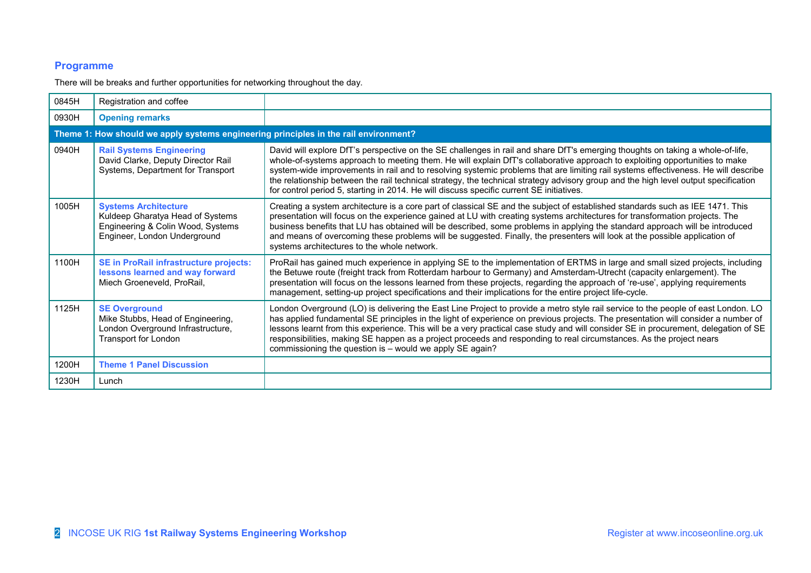## **Programme**

There will be breaks and further opportunities for networking throughout the day.

| 0845H                                                                                | Registration and coffee                                                                                                              |                                                                                                                                                                                                                                                                                                                                                                                                                                                                                                                                                                                                                                        |  |
|--------------------------------------------------------------------------------------|--------------------------------------------------------------------------------------------------------------------------------------|----------------------------------------------------------------------------------------------------------------------------------------------------------------------------------------------------------------------------------------------------------------------------------------------------------------------------------------------------------------------------------------------------------------------------------------------------------------------------------------------------------------------------------------------------------------------------------------------------------------------------------------|--|
| 0930H                                                                                | <b>Opening remarks</b>                                                                                                               |                                                                                                                                                                                                                                                                                                                                                                                                                                                                                                                                                                                                                                        |  |
| Theme 1: How should we apply systems engineering principles in the rail environment? |                                                                                                                                      |                                                                                                                                                                                                                                                                                                                                                                                                                                                                                                                                                                                                                                        |  |
| 0940H                                                                                | <b>Rail Systems Engineering</b><br>David Clarke, Deputy Director Rail<br>Systems, Department for Transport                           | David will explore DfT's perspective on the SE challenges in rail and share DfT's emerging thoughts on taking a whole-of-life,<br>whole-of-systems approach to meeting them. He will explain DfT's collaborative approach to exploiting opportunities to make<br>system-wide improvements in rail and to resolving systemic problems that are limiting rail systems effectiveness. He will describe<br>the relationship between the rail technical strategy, the technical strategy advisory group and the high level output specification<br>for control period 5, starting in 2014. He will discuss specific current SE initiatives. |  |
| 1005H                                                                                | <b>Systems Architecture</b><br>Kuldeep Gharatya Head of Systems<br>Engineering & Colin Wood, Systems<br>Engineer, London Underground | Creating a system architecture is a core part of classical SE and the subject of established standards such as IEE 1471. This<br>presentation will focus on the experience gained at LU with creating systems architectures for transformation projects. The<br>business benefits that LU has obtained will be described, some problems in applying the standard approach will be introduced<br>and means of overcoming these problems will be suggested. Finally, the presenters will look at the possible application of<br>systems architectures to the whole network.                                                              |  |
| 1100H                                                                                | <b>SE in ProRail infrastructure projects:</b><br>lessons learned and way forward<br>Miech Groeneveld, ProRail,                       | ProRail has gained much experience in applying SE to the implementation of ERTMS in large and small sized projects, including<br>the Betuwe route (freight track from Rotterdam harbour to Germany) and Amsterdam-Utrecht (capacity enlargement). The<br>presentation will focus on the lessons learned from these projects, regarding the approach of 're-use', applying requirements<br>management, setting-up project specifications and their implications for the entire project life-cycle.                                                                                                                                      |  |
| 1125H                                                                                | <b>SE Overground</b><br>Mike Stubbs, Head of Engineering,<br>London Overground Infrastructure,<br>Transport for London               | London Overground (LO) is delivering the East Line Project to provide a metro style rail service to the people of east London. LO<br>has applied fundamental SE principles in the light of experience on previous projects. The presentation will consider a number of<br>lessons learnt from this experience. This will be a very practical case study and will consider SE in procurement, delegation of SE<br>responsibilities, making SE happen as a project proceeds and responding to real circumstances. As the project nears<br>commissioning the question is - would we apply SE again?                                       |  |
| 1200H                                                                                | <b>Theme 1 Panel Discussion</b>                                                                                                      |                                                                                                                                                                                                                                                                                                                                                                                                                                                                                                                                                                                                                                        |  |
| 1230H                                                                                | Lunch                                                                                                                                |                                                                                                                                                                                                                                                                                                                                                                                                                                                                                                                                                                                                                                        |  |